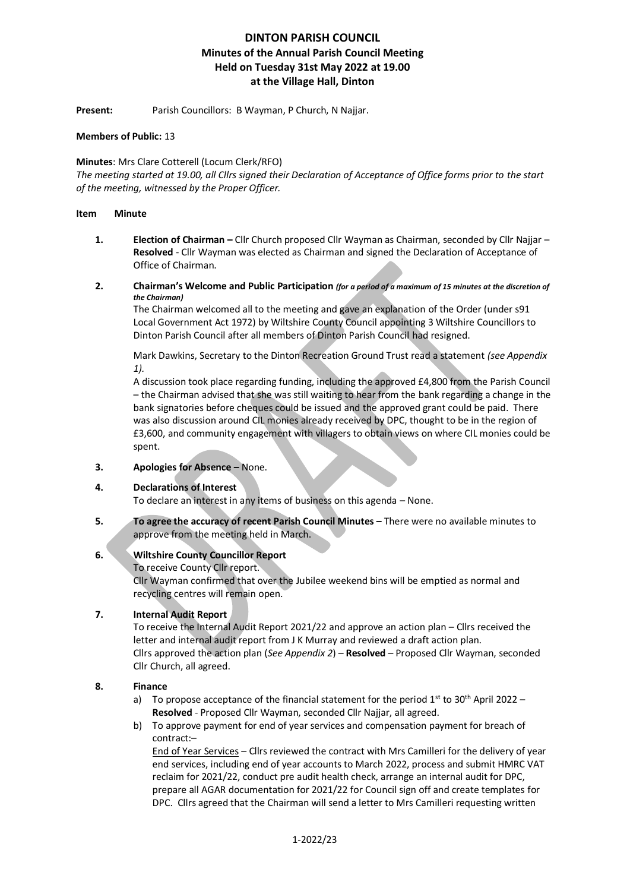Present: Parish Councillors: B Wayman, P Church, N Najjar.

### **Members of Public:** 13

### **Minutes**: Mrs Clare Cotterell (Locum Clerk/RFO)

*The meeting started at 19.00, all Cllrs signed their Declaration of Acceptance of Office forms prior to the start of the meeting, witnessed by the Proper Officer.*

#### **Item Minute**

- **1. Election of Chairman –** Cllr Church proposed Cllr Wayman as Chairman, seconded by Cllr Najjar **Resolved** - Cllr Wayman was elected as Chairman and signed the Declaration of Acceptance of Office of Chairman.
- **2. Chairman's Welcome and Public Participation** *(for a period of a maximum of 15 minutes at the discretion of the Chairman)*

The Chairman welcomed all to the meeting and gave an explanation of the Order (under s91 Local Government Act 1972) by Wiltshire County Council appointing 3 Wiltshire Councillors to Dinton Parish Council after all members of Dinton Parish Council had resigned.

Mark Dawkins, Secretary to the Dinton Recreation Ground Trust read a statement *(see Appendix 1).*

A discussion took place regarding funding, including the approved £4,800 from the Parish Council – the Chairman advised that she was still waiting to hear from the bank regarding a change in the bank signatories before cheques could be issued and the approved grant could be paid. There was also discussion around CIL monies already received by DPC, thought to be in the region of £3,600, and community engagement with villagers to obtain views on where CIL monies could be spent.

**3. Apologies for Absence –** None.

#### **4. Declarations of Interest**

To declare an interest in any items of business on this agenda – None.

**5. To agree the accuracy of recent Parish Council Minutes –** There were no available minutes to approve from the meeting held in March.

## **6. Wiltshire County Councillor Report**

To receive County Cllr report. Cllr Wayman confirmed that over the Jubilee weekend bins will be emptied as normal and recycling centres will remain open.

## **7. Internal Audit Report**

To receive the Internal Audit Report 2021/22 and approve an action plan – Cllrs received the letter and internal audit report from J K Murray and reviewed a draft action plan. Cllrs approved the action plan (*See Appendix 2*) – **Resolved** – Proposed Cllr Wayman, seconded Cllr Church, all agreed.

#### **8. Finance**

- a) To propose acceptance of the financial statement for the period  $1^{st}$  to 30<sup>th</sup> April 2022 **Resolved** - Proposed Cllr Wayman, seconded Cllr Najjar, all agreed.
- b) To approve payment for end of year services and compensation payment for breach of contract:–

End of Year Services – Cllrs reviewed the contract with Mrs Camilleri for the delivery of year end services, including end of year accounts to March 2022, process and submit HMRC VAT reclaim for 2021/22, conduct pre audit health check, arrange an internal audit for DPC, prepare all AGAR documentation for 2021/22 for Council sign off and create templates for DPC. Cllrs agreed that the Chairman will send a letter to Mrs Camilleri requesting written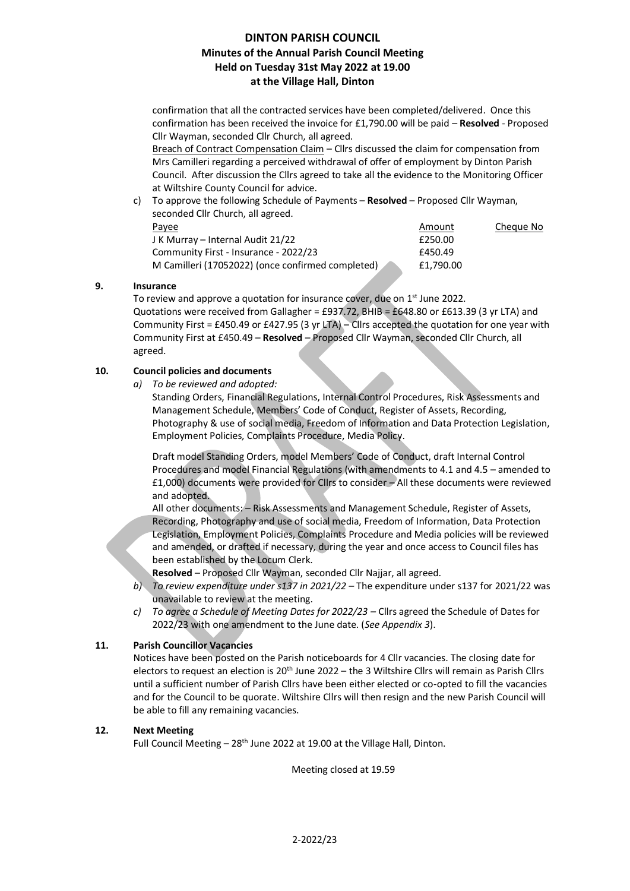confirmation that all the contracted services have been completed/delivered. Once this confirmation has been received the invoice for £1,790.00 will be paid – **Resolved** - Proposed Cllr Wayman, seconded Cllr Church, all agreed.

Breach of Contract Compensation Claim - Cllrs discussed the claim for compensation from Mrs Camilleri regarding a perceived withdrawal of offer of employment by Dinton Parish Council. After discussion the Cllrs agreed to take all the evidence to the Monitoring Officer at Wiltshire County Council for advice.

c) To approve the following Schedule of Payments – **Resolved** – Proposed Cllr Wayman, seconded Cllr Church, all agreed.

| Payee                                             | Amount    | Cheque No |
|---------------------------------------------------|-----------|-----------|
| J K Murray – Internal Audit 21/22                 | £250.00   |           |
| Community First - Insurance - 2022/23             | £450.49   |           |
| M Camilleri (17052022) (once confirmed completed) | £1.790.00 |           |

## **9. Insurance**

To review and approve a quotation for insurance cover, due on 1<sup>st</sup> June 2022. Quotations were received from Gallagher = £937.72, BHIB = £648.80 or £613.39 (3 yr LTA) and Community First = £450.49 or £427.95 (3 yr LTA) – Cllrs accepted the quotation for one year with Community First at £450.49 – **Resolved** – Proposed Cllr Wayman, seconded Cllr Church, all agreed.

## **10. Council policies and documents**

*a) To be reviewed and adopted:*

Standing Orders, Financial Regulations, Internal Control Procedures, Risk Assessments and Management Schedule, Members' Code of Conduct, Register of Assets, Recording, Photography & use of social media, Freedom of Information and Data Protection Legislation, Employment Policies, Complaints Procedure, Media Policy.

Draft model Standing Orders, model Members' Code of Conduct, draft Internal Control Procedures and model Financial Regulations (with amendments to 4.1 and 4.5 – amended to £1,000) documents were provided for Cllrs to consider – All these documents were reviewed and adopted.

All other documents: – Risk Assessments and Management Schedule, Register of Assets, Recording, Photography and use of social media, Freedom of Information, Data Protection Legislation, Employment Policies, Complaints Procedure and Media policies will be reviewed and amended, or drafted if necessary, during the year and once access to Council files has been established by the Locum Clerk.

**Resolved** – Proposed Cllr Wayman, seconded Cllr Najjar, all agreed.

- *b) To review expenditure under s137 in 2021/22 –* The expenditure under s137 for 2021/22 was unavailable to review at the meeting.
- *c) To agree a Schedule of Meeting Dates for 2022/23 –* Cllrs agreed the Schedule of Dates for 2022/23 with one amendment to the June date. (*See Appendix 3*).

## **11. Parish Councillor Vacancies**

Notices have been posted on the Parish noticeboards for 4 Cllr vacancies. The closing date for electors to request an election is 20th June 2022 – the 3 Wiltshire Cllrs will remain as Parish Cllrs until a sufficient number of Parish Cllrs have been either elected or co-opted to fill the vacancies and for the Council to be quorate. Wiltshire Cllrs will then resign and the new Parish Council will be able to fill any remaining vacancies.

## **12. Next Meeting**

Full Council Meeting  $-28$ <sup>th</sup> June 2022 at 19.00 at the Village Hall, Dinton.

Meeting closed at 19.59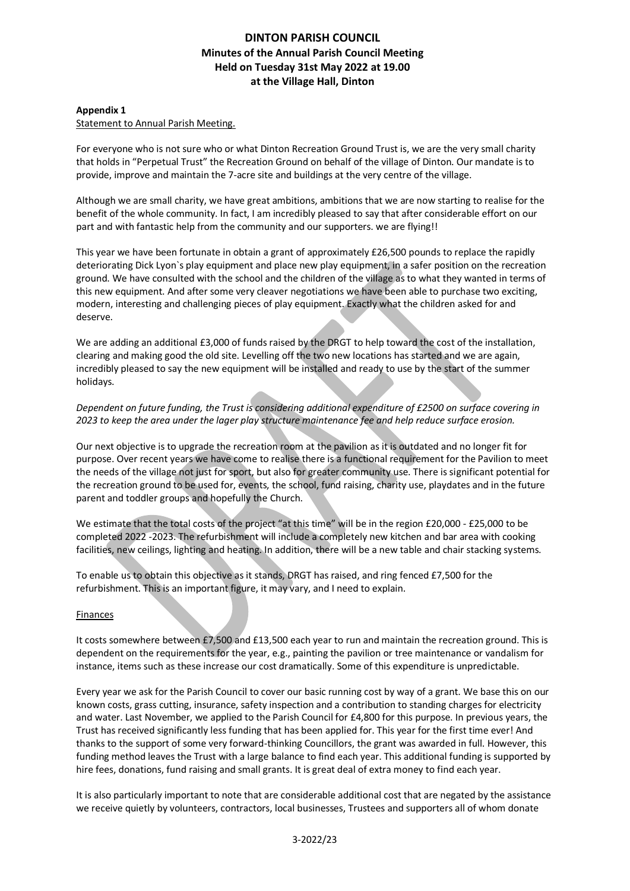### **Appendix 1**

#### Statement to Annual Parish Meeting.

For everyone who is not sure who or what Dinton Recreation Ground Trust is, we are the very small charity that holds in "Perpetual Trust" the Recreation Ground on behalf of the village of Dinton. Our mandate is to provide, improve and maintain the 7-acre site and buildings at the very centre of the village.

Although we are small charity, we have great ambitions, ambitions that we are now starting to realise for the benefit of the whole community. In fact, I am incredibly pleased to say that after considerable effort on our part and with fantastic help from the community and our supporters. we are flying!!

This year we have been fortunate in obtain a grant of approximately £26,500 pounds to replace the rapidly deteriorating Dick Lyon`s play equipment and place new play equipment, in a safer position on the recreation ground. We have consulted with the school and the children of the village as to what they wanted in terms of this new equipment. And after some very cleaver negotiations we have been able to purchase two exciting, modern, interesting and challenging pieces of play equipment. Exactly what the children asked for and deserve.

We are adding an additional £3,000 of funds raised by the DRGT to help toward the cost of the installation, clearing and making good the old site. Levelling off the two new locations has started and we are again, incredibly pleased to say the new equipment will be installed and ready to use by the start of the summer holidays.

## *Dependent on future funding, the Trust is considering additional expenditure of £2500 on surface covering in 2023 to keep the area under the lager play structure maintenance fee and help reduce surface erosion.*

Our next objective is to upgrade the recreation room at the pavilion as it is outdated and no longer fit for purpose. Over recent years we have come to realise there is a functional requirement for the Pavilion to meet the needs of the village not just for sport, but also for greater community use. There is significant potential for the recreation ground to be used for, events, the school, fund raising, charity use, playdates and in the future parent and toddler groups and hopefully the Church.

We estimate that the total costs of the project "at this time" will be in the region £20,000 - £25,000 to be completed 2022 -2023. The refurbishment will include a completely new kitchen and bar area with cooking facilities, new ceilings, lighting and heating. In addition, there will be a new table and chair stacking systems.

To enable us to obtain this objective as it stands, DRGT has raised, and ring fenced £7,500 for the refurbishment. This is an important figure, it may vary, and I need to explain.

#### Finances

It costs somewhere between £7,500 and £13,500 each year to run and maintain the recreation ground. This is dependent on the requirements for the year, e.g., painting the pavilion or tree maintenance or vandalism for instance, items such as these increase our cost dramatically. Some of this expenditure is unpredictable.

Every year we ask for the Parish Council to cover our basic running cost by way of a grant. We base this on our known costs, grass cutting, insurance, safety inspection and a contribution to standing charges for electricity and water. Last November, we applied to the Parish Council for £4,800 for this purpose. In previous years, the Trust has received significantly less funding that has been applied for. This year for the first time ever! And thanks to the support of some very forward-thinking Councillors, the grant was awarded in full. However, this funding method leaves the Trust with a large balance to find each year. This additional funding is supported by hire fees, donations, fund raising and small grants. It is great deal of extra money to find each year.

It is also particularly important to note that are considerable additional cost that are negated by the assistance we receive quietly by volunteers, contractors, local businesses, Trustees and supporters all of whom donate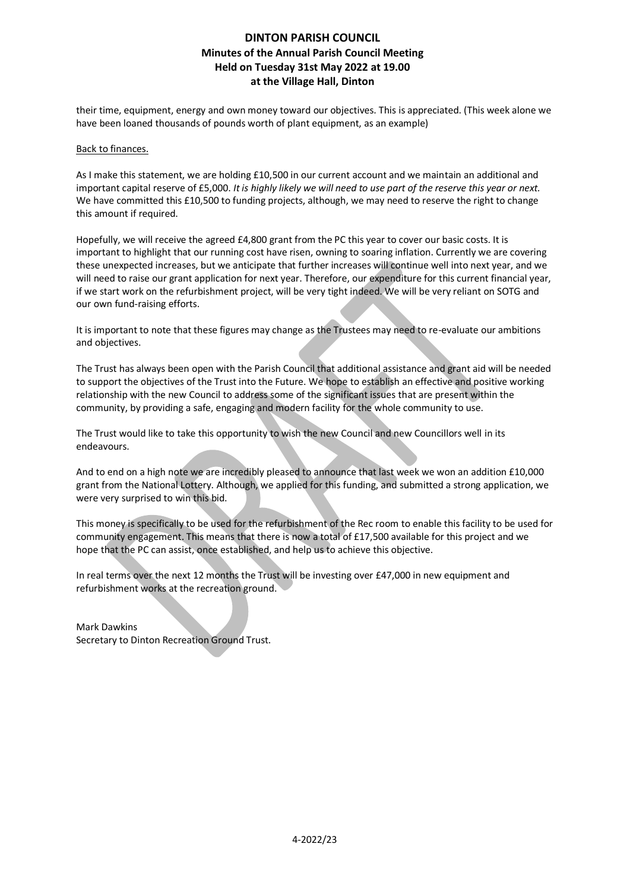their time, equipment, energy and own money toward our objectives. This is appreciated. (This week alone we have been loaned thousands of pounds worth of plant equipment, as an example)

#### Back to finances.

As I make this statement, we are holding £10,500 in our current account and we maintain an additional and important capital reserve of £5,000. *It is highly likely we will need to use part of the reserve this year or next.*  We have committed this £10,500 to funding projects, although, we may need to reserve the right to change this amount if required.

Hopefully, we will receive the agreed £4,800 grant from the PC this year to cover our basic costs. It is important to highlight that our running cost have risen, owning to soaring inflation. Currently we are covering these unexpected increases, but we anticipate that further increases will continue well into next year, and we will need to raise our grant application for next year. Therefore, our expenditure for this current financial year, if we start work on the refurbishment project, will be very tight indeed. We will be very reliant on SOTG and our own fund-raising efforts.

It is important to note that these figures may change as the Trustees may need to re-evaluate our ambitions and objectives.

The Trust has always been open with the Parish Council that additional assistance and grant aid will be needed to support the objectives of the Trust into the Future. We hope to establish an effective and positive working relationship with the new Council to address some of the significant issues that are present within the community, by providing a safe, engaging and modern facility for the whole community to use.

The Trust would like to take this opportunity to wish the new Council and new Councillors well in its endeavours.

And to end on a high note we are incredibly pleased to announce that last week we won an addition £10,000 grant from the National Lottery. Although, we applied for this funding, and submitted a strong application, we were very surprised to win this bid.

This money is specifically to be used for the refurbishment of the Rec room to enable this facility to be used for community engagement. This means that there is now a total of £17,500 available for this project and we hope that the PC can assist, once established, and help us to achieve this objective.

In real terms over the next 12 months the Trust will be investing over £47,000 in new equipment and refurbishment works at the recreation ground.

Mark Dawkins Secretary to Dinton Recreation Ground Trust.